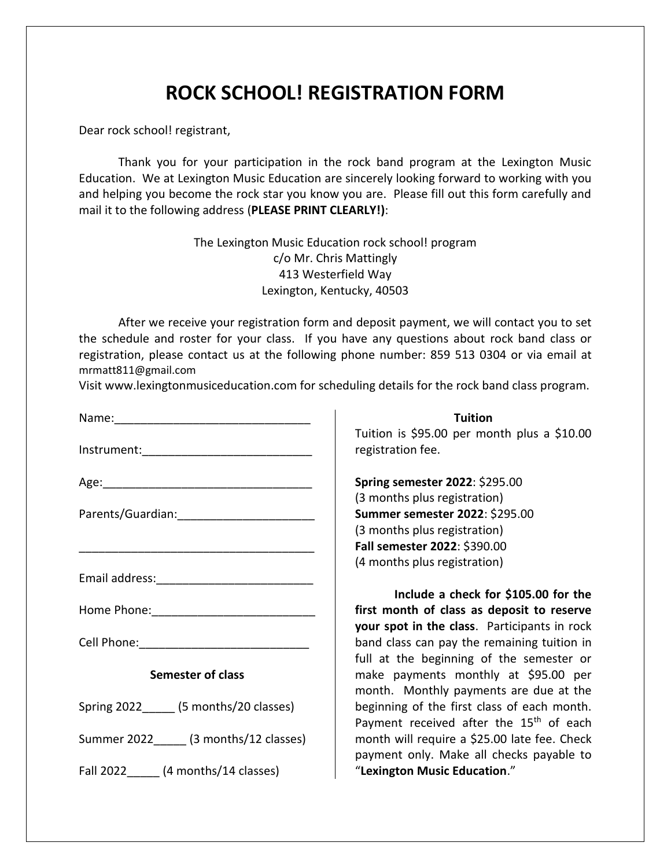## **ROCK SCHOOL! REGISTRATION FORM**

Dear rock school! registrant,

Thank you for your participation in the rock band program at the Lexington Music Education. We at Lexington Music Education are sincerely looking forward to working with you and helping you become the rock star you know you are. Please fill out this form carefully and mail it to the following address (**PLEASE PRINT CLEARLY!)**:

> The Lexington Music Education rock school! program c/o Mr. Chris Mattingly 413 Westerfield Way Lexington, Kentucky, 40503

After we receive your registration form and deposit payment, we will contact you to set the schedule and roster for your class. If you have any questions about rock band class or registration, please contact us at the following phone number: 859 513 0304 or via email at mrmatt811@gmail.com

Visi[t www.lexingtonmusiceducation.](http://www.lexingtonmusiceducation/)com for scheduling details for the rock band class program.

| Semester of class                        |
|------------------------------------------|
| Spring 2022_______ (5 months/20 classes) |
| Summer 2022 (3 months/12 classes)        |
| Fall 2022 ______ (4 months/14 classes)   |

## **Tuition**

Tuition is \$95.00 per month plus a \$10.00 registration fee.

**Spring semester 2022**: \$295.00 (3 months plus registration) **Summer semester 2022**: \$295.00 (3 months plus registration) **Fall semester 2022**: \$390.00 (4 months plus registration)

**Include a check for \$105.00 for the first month of class as deposit to reserve your spot in the class**. Participants in rock band class can pay the remaining tuition in full at the beginning of the semester or make payments monthly at \$95.00 per month. Monthly payments are due at the beginning of the first class of each month. Payment received after the 15<sup>th</sup> of each month will require a \$25.00 late fee. Check payment only. Make all checks payable to "**Lexington Music Education**."